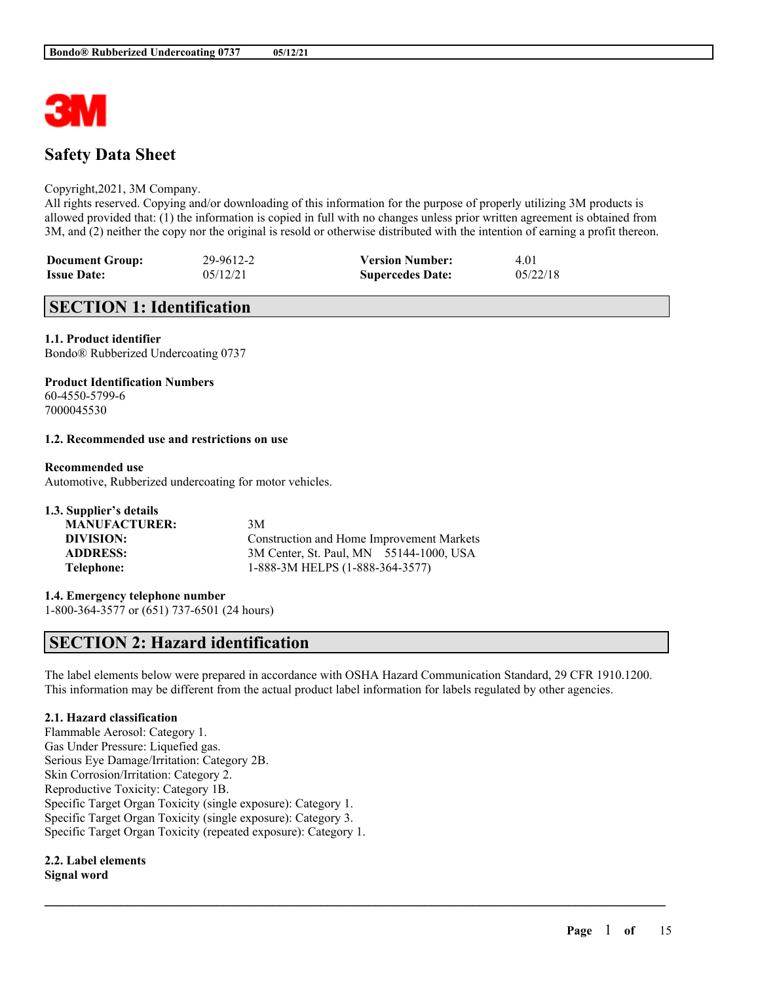

# **Safety Data Sheet**

#### Copyright,2021, 3M Company.

All rights reserved. Copying and/or downloading of this information for the purpose of properly utilizing 3M products is allowed provided that: (1) the information is copied in full with no changes unless prior written agreement is obtained from 3M, and (2) neither the copy nor the original is resold or otherwise distributed with the intention of earning a profit thereon.

| <b>Document Group:</b> | 29-9612-2 | <b>Version Number:</b>  | 4.01     |
|------------------------|-----------|-------------------------|----------|
| <b>Issue Date:</b>     | 05/12/21  | <b>Supercedes Date:</b> | 05/22/18 |

# **SECTION 1: Identification**

#### **1.1. Product identifier**

Bondo® Rubberized Undercoating 0737

#### **Product Identification Numbers**

60-4550-5799-6 7000045530

## **1.2. Recommended use and restrictions on use**

#### **Recommended use**

Automotive, Rubberized undercoating for motor vehicles.

| 3M                                        |
|-------------------------------------------|
| Construction and Home Improvement Markets |
| 3M Center, St. Paul, MN 55144-1000, USA   |
| 1-888-3M HELPS (1-888-364-3577)           |
|                                           |

**1.4. Emergency telephone number** 1-800-364-3577 or (651) 737-6501 (24 hours)

# **SECTION 2: Hazard identification**

The label elements below were prepared in accordance with OSHA Hazard Communication Standard, 29 CFR 1910.1200. This information may be different from the actual product label information for labels regulated by other agencies.

 $\mathcal{L}_\mathcal{L} = \mathcal{L}_\mathcal{L} = \mathcal{L}_\mathcal{L} = \mathcal{L}_\mathcal{L} = \mathcal{L}_\mathcal{L} = \mathcal{L}_\mathcal{L} = \mathcal{L}_\mathcal{L} = \mathcal{L}_\mathcal{L} = \mathcal{L}_\mathcal{L} = \mathcal{L}_\mathcal{L} = \mathcal{L}_\mathcal{L} = \mathcal{L}_\mathcal{L} = \mathcal{L}_\mathcal{L} = \mathcal{L}_\mathcal{L} = \mathcal{L}_\mathcal{L} = \mathcal{L}_\mathcal{L} = \mathcal{L}_\mathcal{L}$ 

## **2.1. Hazard classification**

Flammable Aerosol: Category 1. Gas Under Pressure: Liquefied gas. Serious Eye Damage/Irritation: Category 2B. Skin Corrosion/Irritation: Category 2. Reproductive Toxicity: Category 1B. Specific Target Organ Toxicity (single exposure): Category 1. Specific Target Organ Toxicity (single exposure): Category 3. Specific Target Organ Toxicity (repeated exposure): Category 1.

#### **2.2. Label elements Signal word**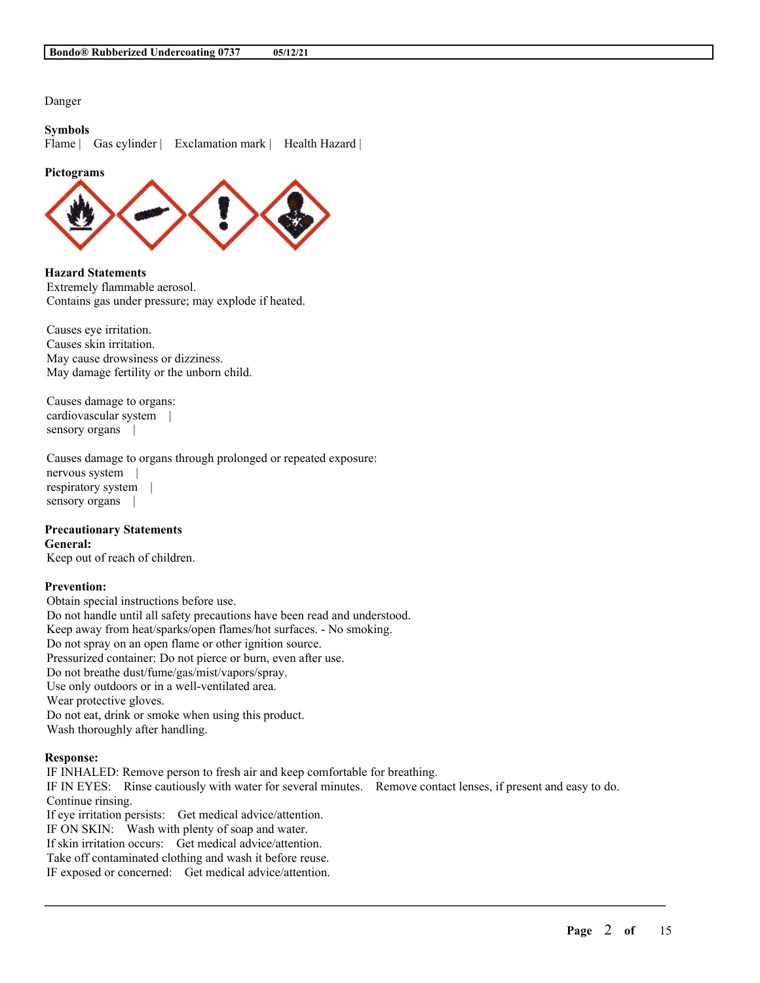Danger

## **Symbols**

Flame | Gas cylinder | Exclamation mark | Health Hazard |

#### **Pictograms**



**Hazard Statements** Extremely flammable aerosol. Contains gas under pressure; may explode if heated.

Causes eye irritation. Causes skin irritation. May cause drowsiness or dizziness. May damage fertility or the unborn child.

Causes damage to organs: cardiovascular system | sensory organs |

Causes damage to organs through prolonged or repeated exposure: nervous system | respiratory system | sensory organs |

#### **Precautionary Statements**

#### **General:**

Keep out of reach of children.

### **Prevention:**

Obtain special instructions before use. Do not handle until all safety precautions have been read and understood. Keep away from heat/sparks/open flames/hot surfaces. - No smoking. Do not spray on an open flame or other ignition source. Pressurized container: Do not pierce or burn, even after use. Do not breathe dust/fume/gas/mist/vapors/spray. Use only outdoors or in a well-ventilated area. Wear protective gloves. Do not eat, drink or smoke when using this product. Wash thoroughly after handling.

#### **Response:**

IF INHALED: Remove person to fresh air and keep comfortable for breathing. IF IN EYES: Rinse cautiously with water for several minutes. Remove contact lenses, if present and easy to do. Continue rinsing. If eye irritation persists: Get medical advice/attention. IF ON SKIN: Wash with plenty of soap and water. If skin irritation occurs: Get medical advice/attention. Take off contaminated clothing and wash it before reuse.

 $\mathcal{L}_\mathcal{L} = \mathcal{L}_\mathcal{L} = \mathcal{L}_\mathcal{L} = \mathcal{L}_\mathcal{L} = \mathcal{L}_\mathcal{L} = \mathcal{L}_\mathcal{L} = \mathcal{L}_\mathcal{L} = \mathcal{L}_\mathcal{L} = \mathcal{L}_\mathcal{L} = \mathcal{L}_\mathcal{L} = \mathcal{L}_\mathcal{L} = \mathcal{L}_\mathcal{L} = \mathcal{L}_\mathcal{L} = \mathcal{L}_\mathcal{L} = \mathcal{L}_\mathcal{L} = \mathcal{L}_\mathcal{L} = \mathcal{L}_\mathcal{L}$ 

IF exposed or concerned: Get medical advice/attention.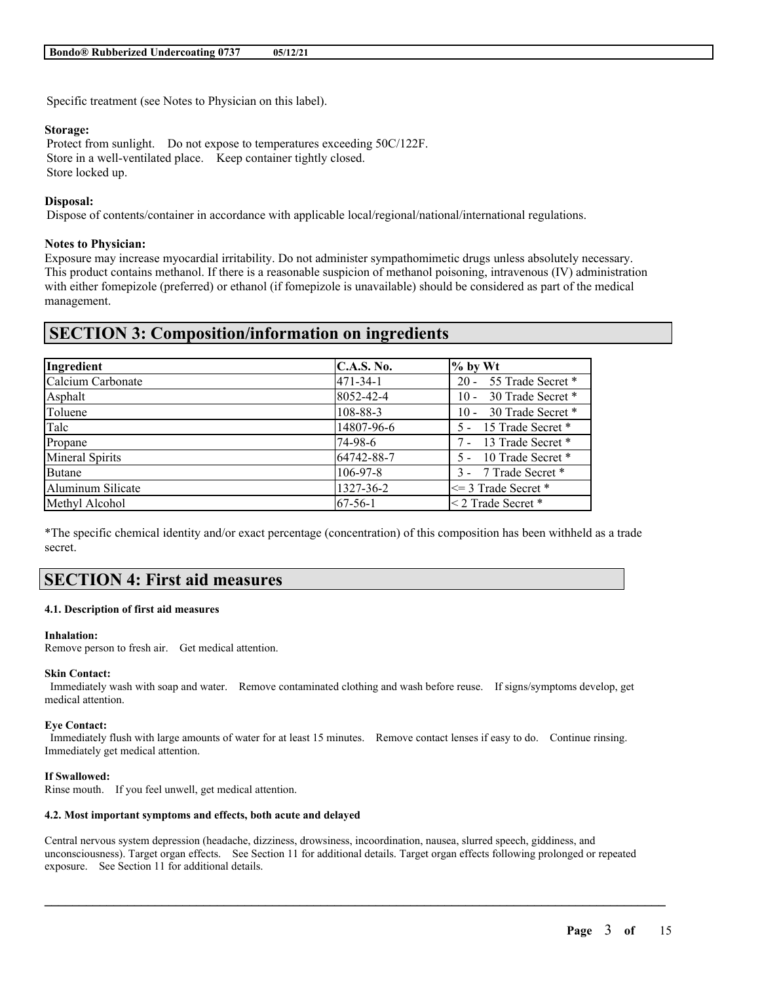Specific treatment (see Notes to Physician on this label).

#### **Storage:**

Protect from sunlight. Do not expose to temperatures exceeding 50C/122F. Store in a well-ventilated place. Keep container tightly closed. Store locked up.

## **Disposal:**

Dispose of contents/container in accordance with applicable local/regional/national/international regulations.

## **Notes to Physician:**

Exposure may increase myocardial irritability. Do not administer sympathomimetic drugs unless absolutely necessary. This product contains methanol. If there is a reasonable suspicion of methanol poisoning, intravenous (IV) administration with either fomepizole (preferred) or ethanol (if fomepizole is unavailable) should be considered as part of the medical management.

## **SECTION 3: Composition/information on ingredients**

| Ingredient             | C.A.S. No.     | $%$ by Wt                   |
|------------------------|----------------|-----------------------------|
| Calcium Carbonate      | 471-34-1       | 20 - 55 Trade Secret *      |
| Asphalt                | 8052-42-4      | 30 Trade Secret *<br>$10 -$ |
| Toluene                | 108-88-3       | 10 - 30 Trade Secret *      |
| Talc                   | 14807-96-6     | 5 - 15 Trade Secret *       |
| Propane                | 74-98-6        | 7 - 13 Trade Secret *       |
| <b>Mineral Spirits</b> | 64742-88-7     | 5 - 10 Trade Secret *       |
| <b>Butane</b>          | $106 - 97 - 8$ | 3 - 7 Trade Secret *        |
| Aluminum Silicate      | 1327-36-2      | $\leq$ 3 Trade Secret *     |
| Methyl Alcohol         | 67-56-1        | $\leq$ 2 Trade Secret *     |

\*The specific chemical identity and/or exact percentage (concentration) of this composition has been withheld as a trade secret.

# **SECTION 4: First aid measures**

#### **4.1. Description of first aid measures**

#### **Inhalation:**

Remove person to fresh air. Get medical attention.

#### **Skin Contact:**

Immediately wash with soap and water. Remove contaminated clothing and wash before reuse. If signs/symptoms develop, get medical attention.

## **Eye Contact:**

Immediately flush with large amounts of water for at least 15 minutes. Remove contact lenses if easy to do. Continue rinsing. Immediately get medical attention.

#### **If Swallowed:**

Rinse mouth. If you feel unwell, get medical attention.

#### **4.2. Most important symptoms and effects, both acute and delayed**

Central nervous system depression (headache, dizziness, drowsiness, incoordination, nausea, slurred speech, giddiness, and unconsciousness). Target organ effects. See Section 11 for additional details. Target organ effects following prolonged or repeated exposure. See Section 11 for additional details.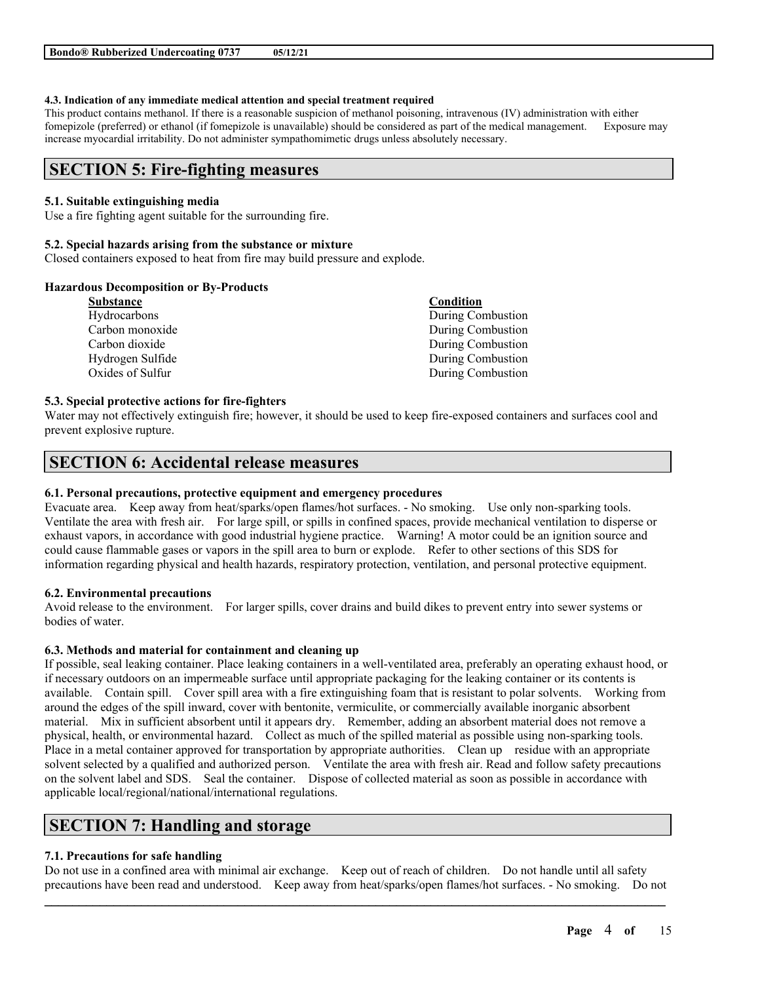#### **4.3. Indication of any immediate medical attention and special treatment required**

This product contains methanol. If there is a reasonable suspicion of methanol poisoning, intravenous (IV) administration with either fomepizole (preferred) or ethanol (if fomepizole is unavailable) should be considered as part of the medical management. Exposure may increase myocardial irritability. Do not administer sympathomimetic drugs unless absolutely necessary.

## **SECTION 5: Fire-fighting measures**

## **5.1. Suitable extinguishing media**

Use a fire fighting agent suitable for the surrounding fire.

#### **5.2. Special hazards arising from the substance or mixture**

Closed containers exposed to heat from fire may build pressure and explode.

## **Hazardous Decomposition or By-Products**

| Substance        | Condition         |
|------------------|-------------------|
| Hydrocarbons     | During Combustion |
| Carbon monoxide  | During Combustion |
| Carbon dioxide   | During Combustion |
| Hydrogen Sulfide | During Combustion |
| Oxides of Sulfur | During Combustion |
|                  |                   |

#### **5.3. Special protective actions for fire-fighters**

Water may not effectively extinguish fire; however, it should be used to keep fire-exposed containers and surfaces cool and prevent explosive rupture.

## **SECTION 6: Accidental release measures**

#### **6.1. Personal precautions, protective equipment and emergency procedures**

Evacuate area. Keep away from heat/sparks/open flames/hot surfaces. - No smoking. Use only non-sparking tools. Ventilate the area with fresh air. For large spill, or spills in confined spaces, provide mechanical ventilation to disperse or exhaust vapors, in accordance with good industrial hygiene practice. Warning! A motor could be an ignition source and could cause flammable gases or vapors in the spill area to burn or explode. Refer to other sections of this SDS for information regarding physical and health hazards, respiratory protection, ventilation, and personal protective equipment.

#### **6.2. Environmental precautions**

Avoid release to the environment. For larger spills, cover drains and build dikes to prevent entry into sewer systems or bodies of water.

## **6.3. Methods and material for containment and cleaning up**

If possible, seal leaking container. Place leaking containers in a well-ventilated area, preferably an operating exhaust hood, or if necessary outdoors on an impermeable surface until appropriate packaging for the leaking container or its contents is available. Contain spill. Cover spill area with a fire extinguishing foam that is resistant to polar solvents. Working from around the edges of the spill inward, cover with bentonite, vermiculite, or commercially available inorganic absorbent material. Mix in sufficient absorbent until it appears dry. Remember, adding an absorbent material does not remove a physical, health, or environmental hazard. Collect as much of the spilled material as possible using non-sparking tools. Place in a metal container approved for transportation by appropriate authorities. Clean up residue with an appropriate solvent selected by a qualified and authorized person. Ventilate the area with fresh air. Read and follow safety precautions on the solvent label and SDS. Seal the container. Dispose of collected material as soon as possible in accordance with applicable local/regional/national/international regulations.

## **SECTION 7: Handling and storage**

## **7.1. Precautions for safe handling**

 $\mathcal{L}_\mathcal{L} = \mathcal{L}_\mathcal{L} = \mathcal{L}_\mathcal{L} = \mathcal{L}_\mathcal{L} = \mathcal{L}_\mathcal{L} = \mathcal{L}_\mathcal{L} = \mathcal{L}_\mathcal{L} = \mathcal{L}_\mathcal{L} = \mathcal{L}_\mathcal{L} = \mathcal{L}_\mathcal{L} = \mathcal{L}_\mathcal{L} = \mathcal{L}_\mathcal{L} = \mathcal{L}_\mathcal{L} = \mathcal{L}_\mathcal{L} = \mathcal{L}_\mathcal{L} = \mathcal{L}_\mathcal{L} = \mathcal{L}_\mathcal{L}$ Do not use in a confined area with minimal air exchange. Keep out of reach of children. Do not handle until all safety precautions have been read and understood. Keep away from heat/sparks/open flames/hot surfaces. - No smoking. Do not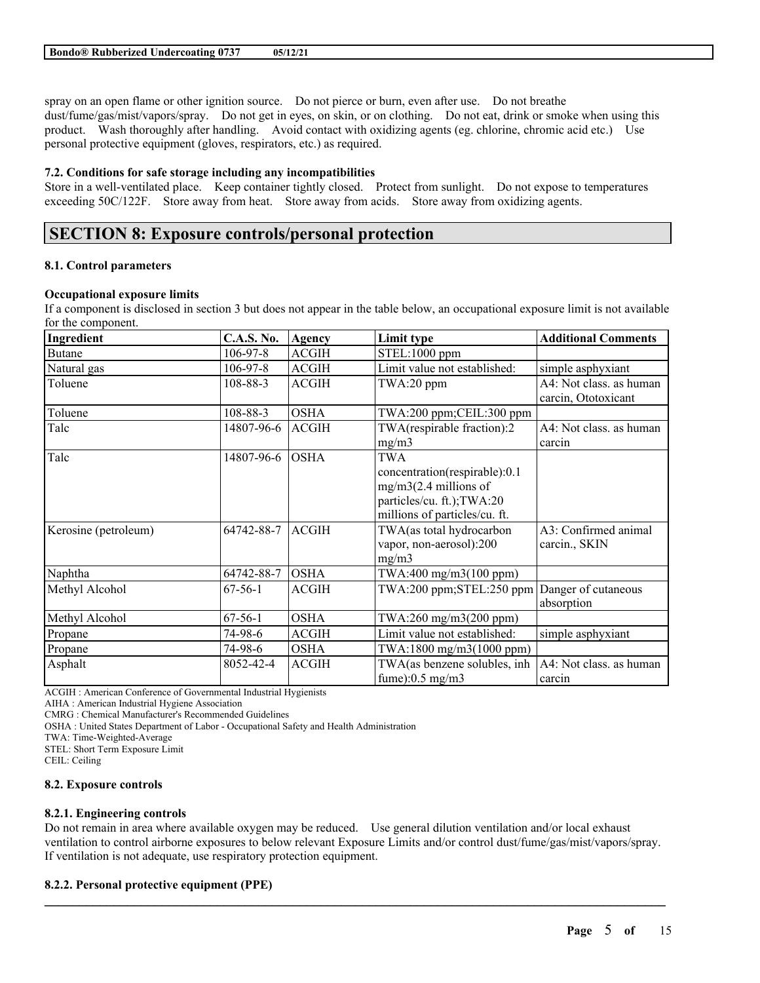spray on an open flame or other ignition source. Do not pierce or burn, even after use. Do not breathe dust/fume/gas/mist/vapors/spray. Do not get in eyes, on skin, or on clothing. Do not eat, drink or smoke when using this product. Wash thoroughly after handling. Avoid contact with oxidizing agents (eg. chlorine, chromic acid etc.) Use personal protective equipment (gloves, respirators, etc.) as required.

## **7.2. Conditions for safe storage including any incompatibilities**

Store in a well-ventilated place. Keep container tightly closed. Protect from sunlight. Do not expose to temperatures exceeding 50C/122F. Store away from heat. Store away from acids. Store away from oxidizing agents.

# **SECTION 8: Exposure controls/personal protection**

## **8.1. Control parameters**

## **Occupational exposure limits**

If a component is disclosed in section 3 but does not appear in the table below, an occupational exposure limit is not available for the component.

| Ingredient           | <b>C.A.S. No.</b> | Agency       | Limit type                    | <b>Additional Comments</b> |
|----------------------|-------------------|--------------|-------------------------------|----------------------------|
| <b>Butane</b>        | $106 - 97 - 8$    | <b>ACGIH</b> | STEL:1000 ppm                 |                            |
| Natural gas          | $106 - 97 - 8$    | <b>ACGIH</b> | Limit value not established:  | simple asphyxiant          |
| Toluene              | 108-88-3          | <b>ACGIH</b> | $TWA:20$ ppm                  | A4: Not class. as human    |
|                      |                   |              |                               | carcin, Ototoxicant        |
| Toluene              | 108-88-3          | <b>OSHA</b>  | TWA:200 ppm;CEIL:300 ppm      |                            |
| Talc                 | 14807-96-6        | <b>ACGIH</b> | TWA(respirable fraction):2    | A4: Not class. as human    |
|                      |                   |              | mg/m3                         | carcin                     |
| Talc                 | 14807-96-6        | <b>OSHA</b>  | TWA                           |                            |
|                      |                   |              | concentration(respirable):0.1 |                            |
|                      |                   |              | $mg/m3(2.4$ millions of       |                            |
|                      |                   |              | particles/cu. ft.); TWA:20    |                            |
|                      |                   |              | millions of particles/cu. ft. |                            |
| Kerosine (petroleum) | 64742-88-7        | <b>ACGIH</b> | TWA(as total hydrocarbon      | A3: Confirmed animal       |
|                      |                   |              | vapor, non-aerosol):200       | carcin., SKIN              |
|                      |                   |              | mg/m3                         |                            |
| Naphtha              | 64742-88-7        | <b>OSHA</b>  | TWA:400 mg/m3(100 ppm)        |                            |
| Methyl Alcohol       | $67-56-1$         | <b>ACGIH</b> | $TWA:200$ ppm; $STEL:250$ ppm | Danger of cutaneous        |
|                      |                   |              |                               | absorption                 |
| Methyl Alcohol       | $67-56-1$         | <b>OSHA</b>  | TWA:260 mg/m3(200 ppm)        |                            |
| Propane              | 74-98-6           | <b>ACGIH</b> | Limit value not established:  | simple asphyxiant          |
| Propane              | 74-98-6           | <b>OSHA</b>  | TWA:1800 mg/m3(1000 ppm)      |                            |
| Asphalt              | 8052-42-4         | <b>ACGIH</b> | TWA(as benzene solubles, inh  | A4: Not class. as human    |
|                      |                   |              | fume $:0.5$ mg/m3             | carcin                     |

ACGIH : American Conference of Governmental Industrial Hygienists

AIHA : American Industrial Hygiene Association

CMRG : Chemical Manufacturer's Recommended Guidelines

OSHA : United States Department of Labor - Occupational Safety and Health Administration

TWA: Time-Weighted-Average

STEL: Short Term Exposure Limit

CEIL: Ceiling

#### **8.2. Exposure controls**

## **8.2.1. Engineering controls**

Do not remain in area where available oxygen may be reduced. Use general dilution ventilation and/or local exhaust ventilation to control airborne exposures to below relevant Exposure Limits and/or control dust/fume/gas/mist/vapors/spray. If ventilation is not adequate, use respiratory protection equipment.

 $\mathcal{L}_\mathcal{L} = \mathcal{L}_\mathcal{L} = \mathcal{L}_\mathcal{L} = \mathcal{L}_\mathcal{L} = \mathcal{L}_\mathcal{L} = \mathcal{L}_\mathcal{L} = \mathcal{L}_\mathcal{L} = \mathcal{L}_\mathcal{L} = \mathcal{L}_\mathcal{L} = \mathcal{L}_\mathcal{L} = \mathcal{L}_\mathcal{L} = \mathcal{L}_\mathcal{L} = \mathcal{L}_\mathcal{L} = \mathcal{L}_\mathcal{L} = \mathcal{L}_\mathcal{L} = \mathcal{L}_\mathcal{L} = \mathcal{L}_\mathcal{L}$ 

#### **8.2.2. Personal protective equipment (PPE)**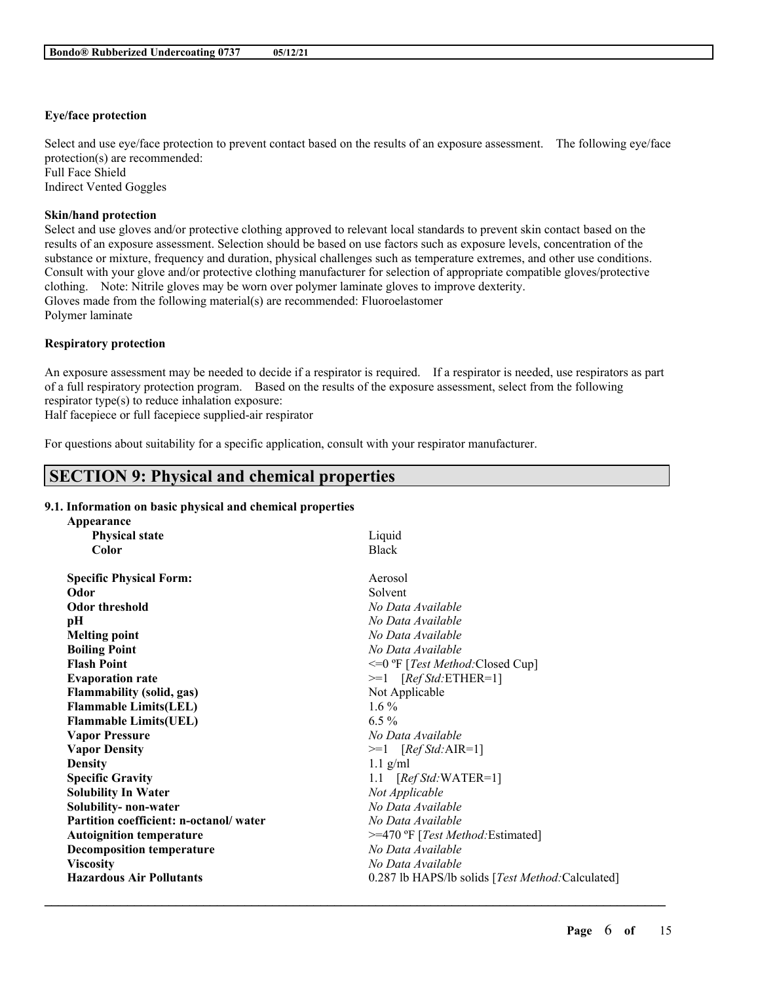## **Eye/face protection**

Select and use eye/face protection to prevent contact based on the results of an exposure assessment. The following eye/face protection(s) are recommended: Full Face Shield Indirect Vented Goggles

## **Skin/hand protection**

Select and use gloves and/or protective clothing approved to relevant local standards to prevent skin contact based on the results of an exposure assessment. Selection should be based on use factors such as exposure levels, concentration of the substance or mixture, frequency and duration, physical challenges such as temperature extremes, and other use conditions. Consult with your glove and/or protective clothing manufacturer for selection of appropriate compatible gloves/protective clothing. Note: Nitrile gloves may be worn over polymer laminate gloves to improve dexterity. Gloves made from the following material(s) are recommended: Fluoroelastomer Polymer laminate

## **Respiratory protection**

An exposure assessment may be needed to decide if a respirator is required. If a respirator is needed, use respirators as part of a full respiratory protection program. Based on the results of the exposure assessment, select from the following respirator type(s) to reduce inhalation exposure:

Half facepiece or full facepiece supplied-air respirator

For questions about suitability for a specific application, consult with your respirator manufacturer.

# **SECTION 9: Physical and chemical properties**

## **9.1. Information on basic physical and chemical properties**

| Appearance                             |                                                   |
|----------------------------------------|---------------------------------------------------|
| <b>Physical state</b>                  | Liquid                                            |
| Color                                  | <b>Black</b>                                      |
| <b>Specific Physical Form:</b>         | Aerosol                                           |
| Odor                                   | Solvent                                           |
| <b>Odor threshold</b>                  | No Data Available                                 |
| pН                                     | No Data Available                                 |
| <b>Melting point</b>                   | No Data Available                                 |
| <b>Boiling Point</b>                   | No Data Available                                 |
| <b>Flash Point</b>                     | <=0 °F [Test Method: Closed Cup]                  |
| <b>Evaporation rate</b>                | $>=1$ [Ref Std:ETHER=1]                           |
| <b>Flammability (solid, gas)</b>       | Not Applicable                                    |
| <b>Flammable Limits(LEL)</b>           | $1.6\%$                                           |
| <b>Flammable Limits(UEL)</b>           | $6.5\%$                                           |
| <b>Vapor Pressure</b>                  | No Data Available                                 |
| <b>Vapor Density</b>                   | $>=1$ [Ref Std: AIR=1]                            |
| <b>Density</b>                         | $1.1$ g/ml                                        |
| <b>Specific Gravity</b>                | 1.1 $[RefStd:WATER=1]$                            |
| <b>Solubility In Water</b>             | Not Applicable                                    |
| Solubility- non-water                  | No Data Available                                 |
| Partition coefficient: n-octanol/water | No Data Available                                 |
| <b>Autoignition temperature</b>        | >=470 °F [Test Method: Estimated]                 |
| <b>Decomposition temperature</b>       | No Data Available                                 |
| <b>Viscosity</b>                       | No Data Available                                 |
| <b>Hazardous Air Pollutants</b>        | 0.287 lb HAPS/lb solids [Test Method: Calculated] |
|                                        |                                                   |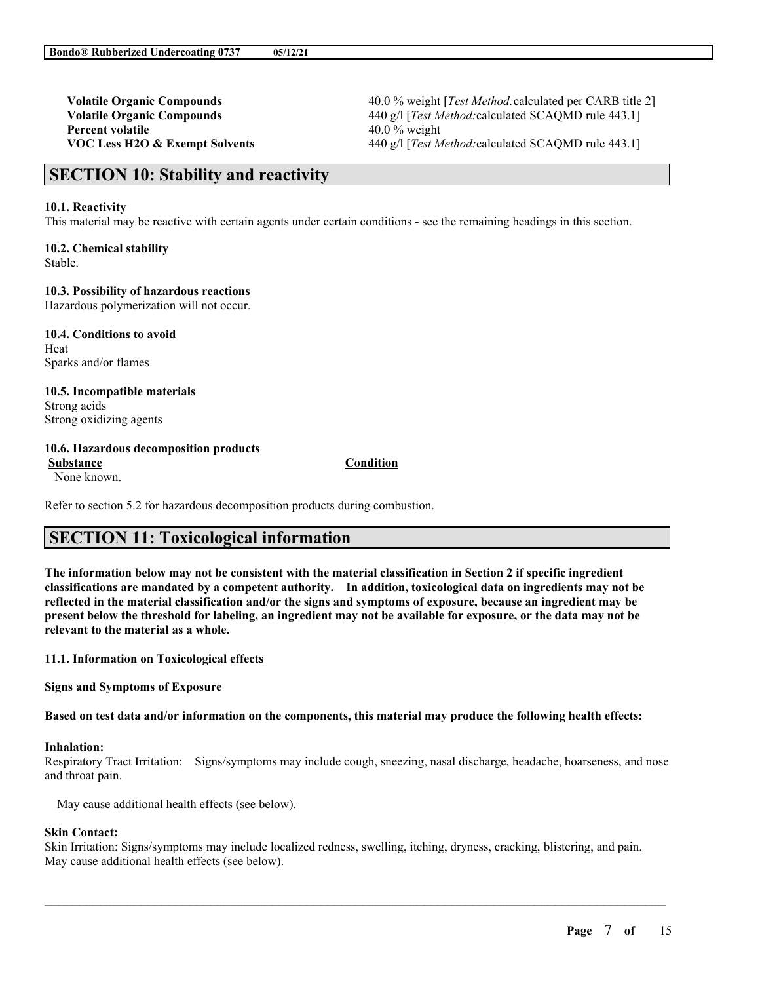**Percent volatile** 40.0 % weight

**Volatile Organic Compounds** 40.0 % weight [*Test Method:*calculated per CARB title 2] **Volatile Organic Compounds** 440 g/l [*Test Method:calculated SCAQMD rule 443.1*] **VOC Less H2O & Exempt Solvents** 440 g/l [*Test Method:*calculated SCAQMD rule 443.1]

## **SECTION 10: Stability and reactivity**

#### **10.1. Reactivity**

This material may be reactive with certain agents under certain conditions - see the remaining headings in this section.

**10.2. Chemical stability** Stable.

**10.3. Possibility of hazardous reactions**

Hazardous polymerization will not occur.

**10.4. Conditions to avoid** Heat Sparks and/or flames

**10.5. Incompatible materials** Strong acids Strong oxidizing agents

### **10.6. Hazardous decomposition products**

None known.

**Substance Condition**

Refer to section 5.2 for hazardous decomposition products during combustion.

## **SECTION 11: Toxicological information**

The information below may not be consistent with the material classification in Section 2 if specific ingredient **classifications are mandated by a competent authority. In addition, toxicological data on ingredients may not be** reflected in the material classification and/or the signs and symptoms of exposure, because an ingredient may be present below the threshold for labeling, an ingredient may not be available for exposure, or the data may not be **relevant to the material as a whole.**

**11.1. Information on Toxicological effects**

**Signs and Symptoms of Exposure**

Based on test data and/or information on the components, this material may produce the following health effects:

#### **Inhalation:**

Respiratory Tract Irritation: Signs/symptoms may include cough, sneezing, nasal discharge, headache, hoarseness, and nose and throat pain.

May cause additional health effects (see below).

#### **Skin Contact:**

Skin Irritation: Signs/symptoms may include localized redness, swelling, itching, dryness, cracking, blistering, and pain. May cause additional health effects (see below).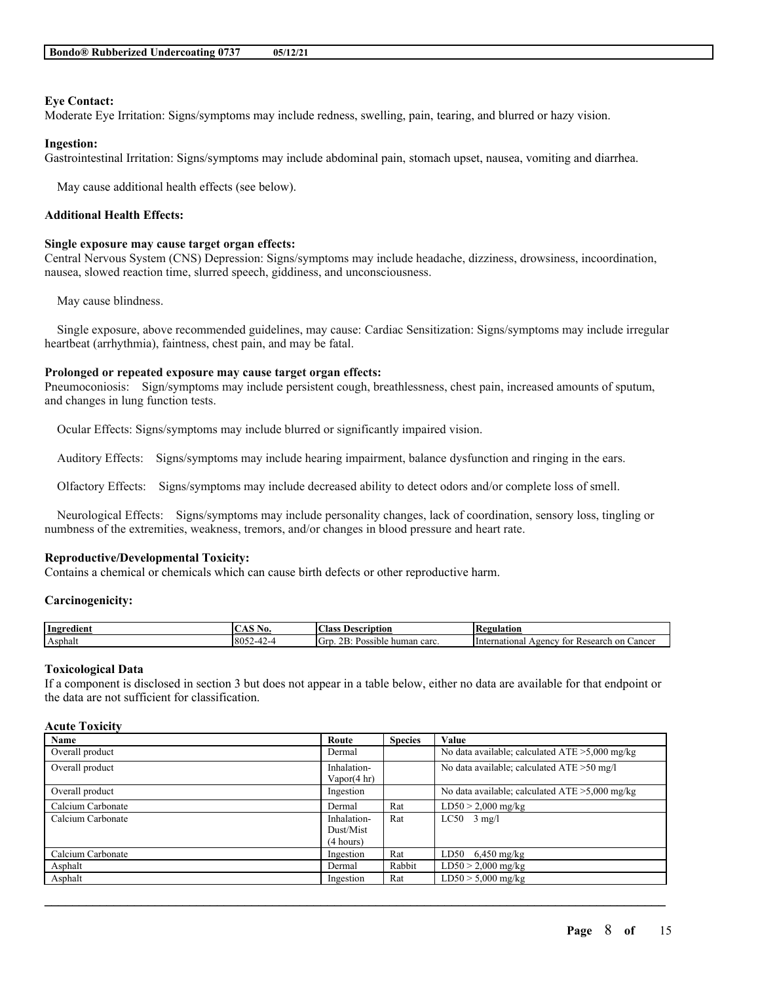## **Eye Contact:**

Moderate Eye Irritation: Signs/symptoms may include redness, swelling, pain, tearing, and blurred or hazy vision.

## **Ingestion:**

Gastrointestinal Irritation: Signs/symptoms may include abdominal pain, stomach upset, nausea, vomiting and diarrhea.

May cause additional health effects (see below).

## **Additional Health Effects:**

#### **Single exposure may cause target organ effects:**

Central Nervous System (CNS) Depression: Signs/symptoms may include headache, dizziness, drowsiness, incoordination, nausea, slowed reaction time, slurred speech, giddiness, and unconsciousness.

May cause blindness.

Single exposure, above recommended guidelines, may cause: Cardiac Sensitization: Signs/symptoms may include irregular heartbeat (arrhythmia), faintness, chest pain, and may be fatal.

## **Prolonged or repeated exposure may cause target organ effects:**

Pneumoconiosis: Sign/symptoms may include persistent cough, breathlessness, chest pain, increased amounts of sputum, and changes in lung function tests.

Ocular Effects: Signs/symptoms may include blurred or significantly impaired vision.

Auditory Effects: Signs/symptoms may include hearing impairment, balance dysfunction and ringing in the ears.

Olfactory Effects: Signs/symptoms may include decreased ability to detect odors and/or complete loss of smell.

Neurological Effects: Signs/symptoms may include personality changes, lack of coordination, sensory loss, tingling or numbness of the extremities, weakness, tremors, and/or changes in blood pressure and heart rate.

## **Reproductive/Developmental Toxicity:**

Contains a chemical or chemicals which can cause birth defects or other reproductive harm.

#### **Carcinogenicity:**

| Ingredient | INO.                     | $\sim$<br>Aass<br>Description                   | 'egulation                                                                                            |
|------------|--------------------------|-------------------------------------------------|-------------------------------------------------------------------------------------------------------|
| Asphalt    | 8052<br>$\sqrt{-1}$<br>╌ | $\sim$<br>GI.<br>$\sim$<br>sible<br>human carc. | ternational<br>Cancer<br><b>Research</b><br>on<br>$Agen$ <sup><math>\cdot</math></sup><br>tor<br>Infe |

## **Toxicological Data**

If a component is disclosed in section 3 but does not appear in a table below, either no data are available for that endpoint or the data are not sufficient for classification.

## **Acute Toxicity**

| Name              | Route                                 | <b>Species</b> | Value                                             |
|-------------------|---------------------------------------|----------------|---------------------------------------------------|
| Overall product   | Dermal                                |                | No data available; calculated $ATE > 5,000$ mg/kg |
| Overall product   | Inhalation-<br>Vapor $(4 \text{ hr})$ |                | No data available; calculated ATE > 50 mg/l       |
| Overall product   | Ingestion                             |                | No data available; calculated $ATE > 5,000$ mg/kg |
| Calcium Carbonate | Dermal                                | Rat            | $LD50 > 2,000$ mg/kg                              |
| Calcium Carbonate | Inhalation-                           | Rat            | $LC50$ 3 mg/l                                     |
|                   | Dust/Mist                             |                |                                                   |
|                   | (4 hours)                             |                |                                                   |
| Calcium Carbonate | Ingestion                             | Rat            | LD50 $6,450$ mg/kg                                |
| Asphalt           | Dermal                                | Rabbit         | $LD50 > 2,000$ mg/kg                              |
| Asphalt           | Ingestion                             | Rat            | $LD50 > 5,000$ mg/kg                              |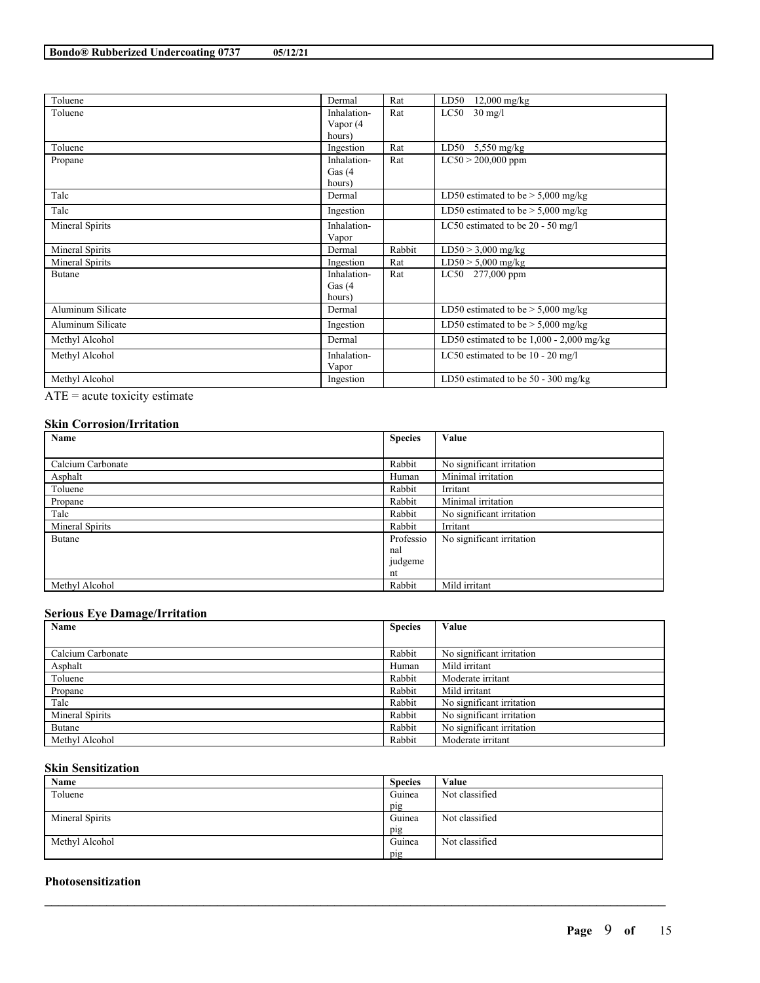| Toluene           | Dermal                  | Rat    | $LD50$ 12,000 mg/kg                        |
|-------------------|-------------------------|--------|--------------------------------------------|
| Toluene           | Inhalation-<br>Vapor (4 | Rat    | $LC50$ 30 mg/l                             |
|                   | hours)                  |        |                                            |
| Toluene           | Ingestion               | Rat    | LD50<br>$5,550$ mg/kg                      |
| Propane           | Inhalation-             | Rat    | $LC50 > 200,000$ ppm                       |
|                   | Gas $(4)$               |        |                                            |
|                   | hours)                  |        |                                            |
| Talc              | Dermal                  |        | LD50 estimated to be $>$ 5,000 mg/kg       |
| Talc              | Ingestion               |        | LD50 estimated to be $>$ 5,000 mg/kg       |
| Mineral Spirits   | Inhalation-             |        | LC50 estimated to be 20 - 50 mg/l          |
|                   | Vapor                   |        |                                            |
| Mineral Spirits   | Dermal                  | Rabbit | $LD50 > 3,000$ mg/kg                       |
| Mineral Spirits   | Ingestion               | Rat    | $LD50 > 5,000$ mg/kg                       |
| Butane            | Inhalation-             | Rat    | LC50 277,000 ppm                           |
|                   | Gas $(4)$               |        |                                            |
|                   | hours)                  |        |                                            |
| Aluminum Silicate | Dermal                  |        | LD50 estimated to be $>$ 5,000 mg/kg       |
| Aluminum Silicate | Ingestion               |        | LD50 estimated to be $>$ 5,000 mg/kg       |
| Methyl Alcohol    | Dermal                  |        | LD50 estimated to be $1,000 - 2,000$ mg/kg |
| Methyl Alcohol    | Inhalation-             |        | LC50 estimated to be $10 - 20$ mg/l        |
|                   | Vapor                   |        |                                            |
| Methyl Alcohol    | Ingestion               |        | LD50 estimated to be $50 - 300$ mg/kg      |

ATE = acute toxicity estimate

## **Skin Corrosion/Irritation**

| Name              | <b>Species</b> | Value                     |
|-------------------|----------------|---------------------------|
|                   |                |                           |
| Calcium Carbonate | Rabbit         | No significant irritation |
| Asphalt           | Human          | Minimal irritation        |
| Toluene           | Rabbit         | Irritant                  |
| Propane           | Rabbit         | Minimal irritation        |
| Talc              | Rabbit         | No significant irritation |
| Mineral Spirits   | Rabbit         | Irritant                  |
| Butane            | Professio      | No significant irritation |
|                   | nal            |                           |
|                   | judgeme        |                           |
|                   | nt             |                           |
| Methyl Alcohol    | Rabbit         | Mild irritant             |

## **Serious Eye Damage/Irritation**

| Name              | <b>Species</b> | Value                     |
|-------------------|----------------|---------------------------|
|                   |                |                           |
| Calcium Carbonate | Rabbit         | No significant irritation |
| Asphalt           | Human          | Mild irritant             |
| Toluene           | Rabbit         | Moderate irritant         |
| Propane           | Rabbit         | Mild irritant             |
| Talc              | Rabbit         | No significant irritation |
| Mineral Spirits   | Rabbit         | No significant irritation |
| Butane            | Rabbit         | No significant irritation |
| Methyl Alcohol    | Rabbit         | Moderate irritant         |

## **Skin Sensitization**

| Name            | <b>Species</b> | Value          |
|-----------------|----------------|----------------|
| Toluene         | Guinea         | Not classified |
|                 | pig            |                |
| Mineral Spirits | Guinea         | Not classified |
|                 | pig            |                |
| Methyl Alcohol  | Guinea         | Not classified |
|                 | pig            |                |

 $\mathcal{L}_\mathcal{L} = \mathcal{L}_\mathcal{L} = \mathcal{L}_\mathcal{L} = \mathcal{L}_\mathcal{L} = \mathcal{L}_\mathcal{L} = \mathcal{L}_\mathcal{L} = \mathcal{L}_\mathcal{L} = \mathcal{L}_\mathcal{L} = \mathcal{L}_\mathcal{L} = \mathcal{L}_\mathcal{L} = \mathcal{L}_\mathcal{L} = \mathcal{L}_\mathcal{L} = \mathcal{L}_\mathcal{L} = \mathcal{L}_\mathcal{L} = \mathcal{L}_\mathcal{L} = \mathcal{L}_\mathcal{L} = \mathcal{L}_\mathcal{L}$ 

## **Photosensitization**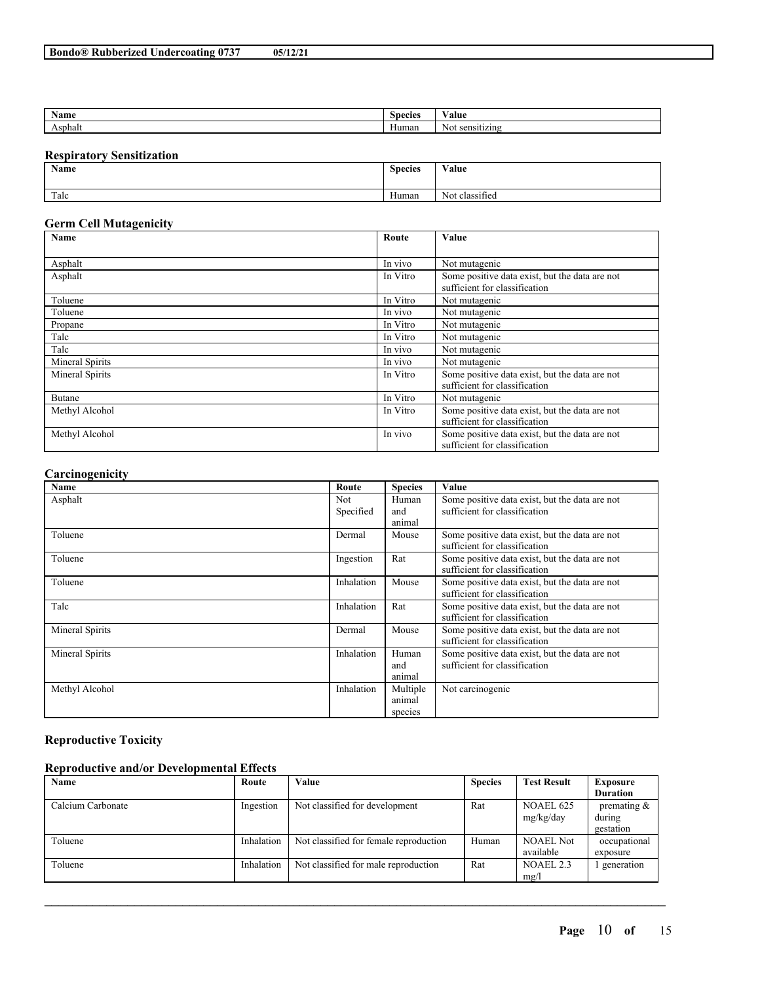| Name                      | Spoolag | - 1<br>'alue |
|---------------------------|---------|--------------|
| . .<br>sphal <sup>+</sup> | ⊣umar   | .            |

## **Respiratory Sensitization**

| Name | <b>Species</b> | Value                    |
|------|----------------|--------------------------|
| Talc | Human          | $\sim$<br>Not classified |

## **Germ Cell Mutagenicity**

| Name            | Route    | Value                                                                           |  |  |
|-----------------|----------|---------------------------------------------------------------------------------|--|--|
|                 |          |                                                                                 |  |  |
| Asphalt         | In vivo  | Not mutagenic                                                                   |  |  |
| Asphalt         | In Vitro | Some positive data exist, but the data are not<br>sufficient for classification |  |  |
| Toluene         | In Vitro | Not mutagenic                                                                   |  |  |
| Toluene         | In vivo  | Not mutagenic                                                                   |  |  |
| Propane         | In Vitro | Not mutagenic                                                                   |  |  |
| Talc            | In Vitro | Not mutagenic                                                                   |  |  |
| Talc            | In vivo  | Not mutagenic                                                                   |  |  |
| Mineral Spirits | In vivo  | Not mutagenic                                                                   |  |  |
| Mineral Spirits | In Vitro | Some positive data exist, but the data are not<br>sufficient for classification |  |  |
| Butane          | In Vitro | Not mutagenic                                                                   |  |  |
| Methyl Alcohol  | In Vitro | Some positive data exist, but the data are not<br>sufficient for classification |  |  |
| Methyl Alcohol  | In vivo  | Some positive data exist, but the data are not<br>sufficient for classification |  |  |

## **Carcinogenicity**

| $\overline{\phantom{a}}$<br>Name | Route                   | <b>Species</b>                | Value                                                                           |
|----------------------------------|-------------------------|-------------------------------|---------------------------------------------------------------------------------|
| Asphalt                          | <b>Not</b><br>Specified | Human<br>and<br>animal        | Some positive data exist, but the data are not<br>sufficient for classification |
| Toluene                          | Dermal                  | Mouse                         | Some positive data exist, but the data are not<br>sufficient for classification |
| Toluene                          | Ingestion               | Rat                           | Some positive data exist, but the data are not<br>sufficient for classification |
| Toluene                          | Inhalation              | Mouse                         | Some positive data exist, but the data are not<br>sufficient for classification |
| Talc                             | Inhalation              | Rat                           | Some positive data exist, but the data are not<br>sufficient for classification |
| Mineral Spirits                  | Dermal                  | Mouse                         | Some positive data exist, but the data are not<br>sufficient for classification |
| Mineral Spirits                  | Inhalation              | Human<br>and<br>animal        | Some positive data exist, but the data are not<br>sufficient for classification |
| Methyl Alcohol                   | Inhalation              | Multiple<br>animal<br>species | Not carcinogenic                                                                |

# **Reproductive Toxicity**

## **Reproductive and/or Developmental Effects**

| Name              | Route      | Value                                  | <b>Species</b> | <b>Test Result</b> | <b>Exposure</b> |
|-------------------|------------|----------------------------------------|----------------|--------------------|-----------------|
|                   |            |                                        |                |                    | <b>Duration</b> |
| Calcium Carbonate | Ingestion  | Not classified for development         | Rat            | <b>NOAEL 625</b>   | premating $\&$  |
|                   |            |                                        |                | mg/kg/day          | during          |
|                   |            |                                        |                |                    | gestation       |
| Toluene           | Inhalation | Not classified for female reproduction | Human          | <b>NOAEL Not</b>   | occupational    |
|                   |            |                                        |                | available          | exposure        |
| Toluene           | Inhalation | Not classified for male reproduction   | Rat            | NOAEL 2.3          | generation      |
|                   |            |                                        |                | mg/l               |                 |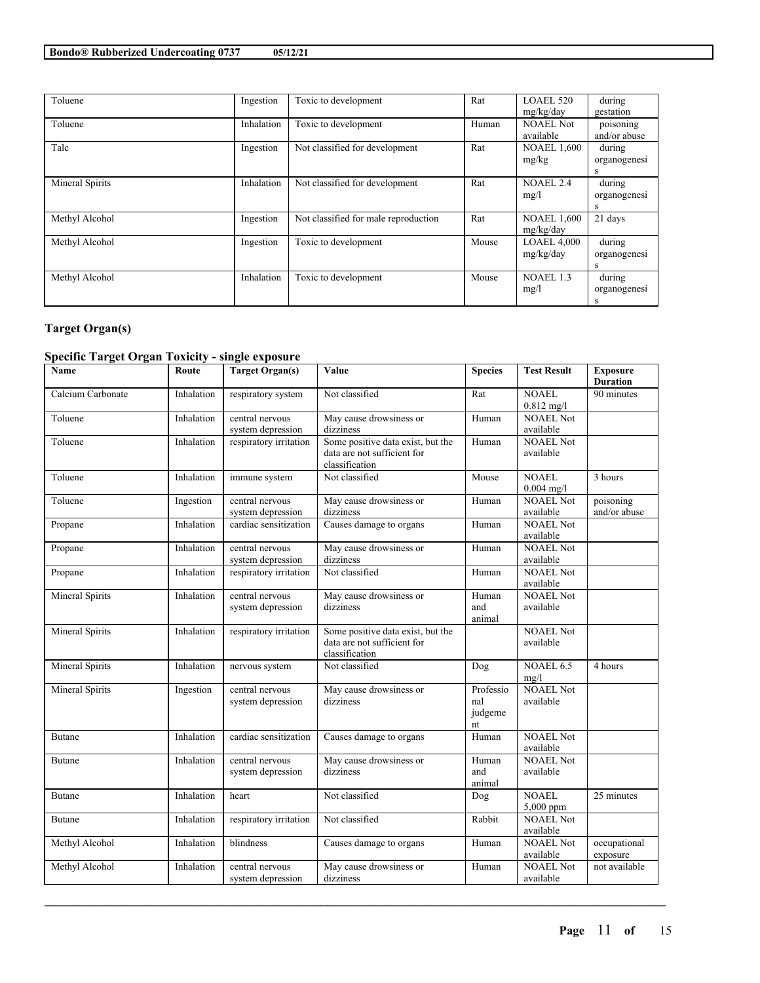| Toluene         | Ingestion  | Toxic to development                 | Rat   | LOAEL 520          | during       |
|-----------------|------------|--------------------------------------|-------|--------------------|--------------|
|                 |            |                                      |       | mg/kg/day          | gestation    |
| Toluene         | Inhalation | Toxic to development                 | Human | <b>NOAEL Not</b>   | poisoning    |
|                 |            |                                      |       | available          | and/or abuse |
| Talc            | Ingestion  | Not classified for development       | Rat   | <b>NOAEL 1,600</b> | during       |
|                 |            |                                      |       | mg/kg              | organogenesi |
|                 |            |                                      |       |                    | s            |
| Mineral Spirits | Inhalation | Not classified for development       | Rat   | <b>NOAEL 2.4</b>   | during       |
|                 |            |                                      |       | mg/l               | organogenesi |
|                 |            |                                      |       |                    | S            |
| Methyl Alcohol  | Ingestion  | Not classified for male reproduction | Rat   | <b>NOAEL 1,600</b> | 21 days      |
|                 |            |                                      |       | mg/kg/day          |              |
| Methyl Alcohol  | Ingestion  | Toxic to development                 | Mouse | <b>LOAEL 4,000</b> | during       |
|                 |            |                                      |       | mg/kg/day          | organogenesi |
|                 |            |                                      |       |                    | S            |
| Methyl Alcohol  | Inhalation | Toxic to development                 | Mouse | NOAEL 1.3          | during       |
|                 |            |                                      |       | mg/l               | organogenesi |
|                 |            |                                      |       |                    | s            |

## **Target Organ(s)**

# **Specific Target Organ Toxicity - single exposure**

| Name              | Route      | <b>Target Organ(s)</b>               | Value                                                                              | <b>Species</b>                    | <b>Test Result</b>            | <b>Exposure</b><br><b>Duration</b> |
|-------------------|------------|--------------------------------------|------------------------------------------------------------------------------------|-----------------------------------|-------------------------------|------------------------------------|
| Calcium Carbonate | Inhalation | respiratory system                   | Not classified                                                                     | Rat                               | <b>NOAEL</b><br>$0.812$ mg/l  | 90 minutes                         |
| Toluene           | Inhalation | central nervous<br>system depression | May cause drowsiness or<br>dizziness                                               | Human                             | <b>NOAEL Not</b><br>available |                                    |
| Toluene           | Inhalation | respiratory irritation               | Some positive data exist, but the<br>data are not sufficient for<br>classification | Human                             | <b>NOAEL Not</b><br>available |                                    |
| Toluene           | Inhalation | immune system                        | Not classified                                                                     | Mouse                             | <b>NOAEL</b><br>$0.004$ mg/l  | 3 hours                            |
| Toluene           | Ingestion  | central nervous<br>system depression | May cause drowsiness or<br>dizziness                                               | Human                             | <b>NOAEL Not</b><br>available | poisoning<br>and/or abuse          |
| Propane           | Inhalation | cardiac sensitization                | Causes damage to organs                                                            | Human                             | <b>NOAEL Not</b><br>available |                                    |
| Propane           | Inhalation | central nervous<br>system depression | May cause drowsiness or<br>dizziness                                               | Human                             | <b>NOAEL Not</b><br>available |                                    |
| Propane           | Inhalation | respiratory irritation               | Not classified                                                                     | Human                             | NOAEL Not<br>available        |                                    |
| Mineral Spirits   | Inhalation | central nervous<br>system depression | May cause drowsiness or<br>dizziness                                               | Human<br>and<br>animal            | <b>NOAEL Not</b><br>available |                                    |
| Mineral Spirits   | Inhalation | respiratory irritation               | Some positive data exist, but the<br>data are not sufficient for<br>classification |                                   | <b>NOAEL Not</b><br>available |                                    |
| Mineral Spirits   | Inhalation | nervous system                       | Not classified                                                                     | Dog                               | NOAEL 6.5<br>mg/l             | 4 hours                            |
| Mineral Spirits   | Ingestion  | central nervous<br>system depression | May cause drowsiness or<br>dizziness                                               | Professio<br>nal<br>judgeme<br>nt | <b>NOAEL Not</b><br>available |                                    |
| <b>Butane</b>     | Inhalation | cardiac sensitization                | Causes damage to organs                                                            | Human                             | <b>NOAEL Not</b><br>available |                                    |
| Butane            | Inhalation | central nervous<br>system depression | May cause drowsiness or<br>dizziness                                               | Human<br>and<br>animal            | <b>NOAEL Not</b><br>available |                                    |
| Butane            | Inhalation | heart                                | Not classified                                                                     | Dog                               | <b>NOAEL</b><br>5,000 ppm     | 25 minutes                         |
| <b>Butane</b>     | Inhalation | respiratory irritation               | Not classified                                                                     | Rabbit                            | <b>NOAEL Not</b><br>available |                                    |
| Methyl Alcohol    | Inhalation | blindness                            | Causes damage to organs                                                            | Human                             | <b>NOAEL Not</b><br>available | occupational<br>exposure           |
| Methyl Alcohol    | Inhalation | central nervous<br>system depression | May cause drowsiness or<br>dizziness                                               | Human                             | <b>NOAEL Not</b><br>available | not available                      |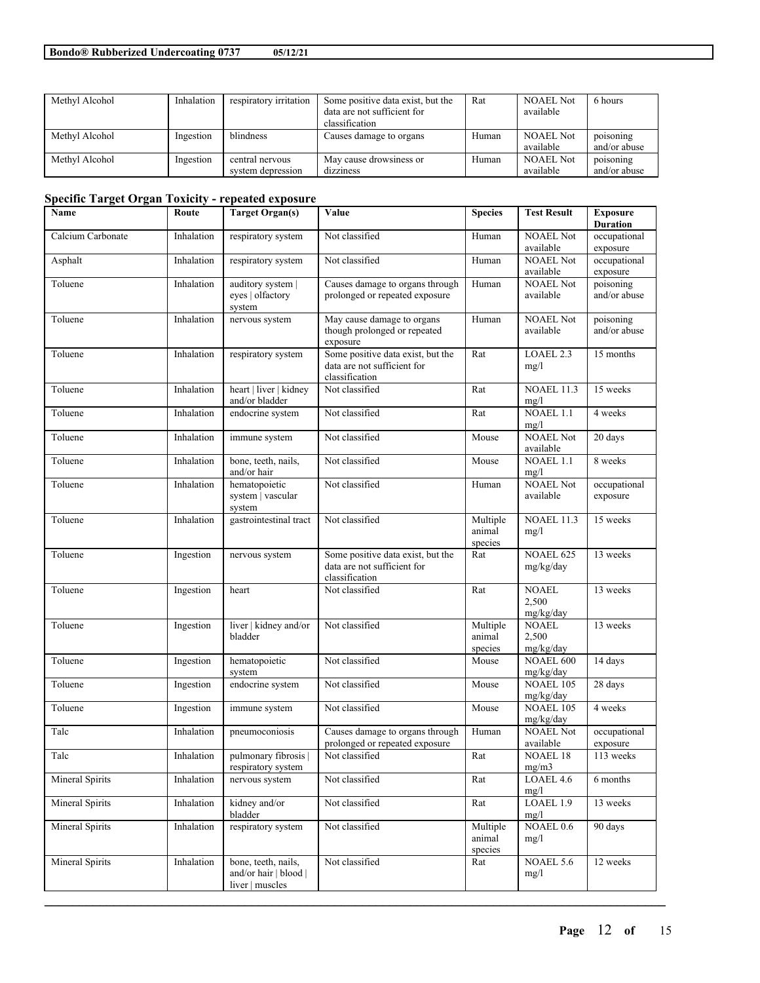| Methyl Alcohol | Inhalation | respiratory irritation | Some positive data exist, but the | Rat   | <b>NOAEL Not</b> | 6 hours      |
|----------------|------------|------------------------|-----------------------------------|-------|------------------|--------------|
|                |            |                        | data are not sufficient for       |       | available        |              |
|                |            |                        | classification                    |       |                  |              |
| Methyl Alcohol | Ingestion  | <b>blindness</b>       | Causes damage to organs           | Human | <b>NOAEL Not</b> | poisoning    |
|                |            |                        |                                   |       | available        | and/or abuse |
| Methyl Alcohol | Ingestion  | central nervous        | May cause drowsiness or           | Human | <b>NOAEL Not</b> | poisoning    |
|                |            | system depression      | dizziness                         |       | available        | and/or abuse |

# **Specific Target Organ Toxicity - repeated exposure**

| Name                   | Route      | <b>Target Organ(s)</b>                                          | Value                                                                              | <b>Species</b>                | <b>Test Result</b>                 | <b>Exposure</b><br><b>Duration</b> |
|------------------------|------------|-----------------------------------------------------------------|------------------------------------------------------------------------------------|-------------------------------|------------------------------------|------------------------------------|
| Calcium Carbonate      | Inhalation | respiratory system                                              | Not classified                                                                     | Human                         | <b>NOAEL Not</b><br>available      | occupational<br>exposure           |
| Asphalt                | Inhalation | respiratory system                                              | Not classified                                                                     | Human                         | <b>NOAEL Not</b><br>available      | occupational<br>exposure           |
| Toluene                | Inhalation | auditory system  <br>eyes   olfactory<br>system                 | Causes damage to organs through<br>prolonged or repeated exposure                  | Human                         | <b>NOAEL Not</b><br>available      | poisoning<br>and/or abuse          |
| Toluene                | Inhalation | nervous system                                                  | May cause damage to organs<br>though prolonged or repeated<br>exposure             | Human                         | <b>NOAEL Not</b><br>available      | poisoning<br>and/or abuse          |
| Toluene                | Inhalation | respiratory system                                              | Some positive data exist, but the<br>data are not sufficient for<br>classification | Rat                           | LOAEL 2.3<br>mg/l                  | 15 months                          |
| Toluene                | Inhalation | heart   liver   kidney<br>and/or bladder                        | Not classified                                                                     | Rat                           | <b>NOAEL 11.3</b><br>mg/l          | 15 weeks                           |
| Toluene                | Inhalation | endocrine system                                                | Not classified                                                                     | Rat                           | NOAEL 1.1<br>mg/l                  | 4 weeks                            |
| Toluene                | Inhalation | immune system                                                   | Not classified                                                                     | Mouse                         | <b>NOAEL Not</b><br>available      | 20 days                            |
| Toluene                | Inhalation | bone, teeth, nails,<br>and/or hair                              | Not classified                                                                     | Mouse                         | NOAEL 1.1<br>mg/l                  | 8 weeks                            |
| Toluene                | Inhalation | hematopoietic<br>system   vascular<br>system                    | Not classified                                                                     | Human                         | <b>NOAEL Not</b><br>available      | occupational<br>exposure           |
| Toluene                | Inhalation | gastrointestinal tract                                          | Not classified                                                                     | Multiple<br>animal<br>species | <b>NOAEL 11.3</b><br>mg/l          | 15 weeks                           |
| Toluene                | Ingestion  | nervous system                                                  | Some positive data exist, but the<br>data are not sufficient for<br>classification | Rat                           | NOAEL 625<br>mg/kg/day             | 13 weeks                           |
| Toluene                | Ingestion  | heart                                                           | Not classified                                                                     | Rat                           | <b>NOAEL</b><br>2,500<br>mg/kg/day | 13 weeks                           |
| Toluene                | Ingestion  | liver   kidney and/or<br>bladder                                | Not classified                                                                     | Multiple<br>animal<br>species | <b>NOAEL</b><br>2,500<br>mg/kg/day | 13 weeks                           |
| Toluene                | Ingestion  | hematopoietic<br>system                                         | Not classified                                                                     | Mouse                         | NOAEL 600<br>mg/kg/day             | 14 days                            |
| Toluene                | Ingestion  | endocrine system                                                | Not classified                                                                     | Mouse                         | NOAEL 105<br>mg/kg/day             | 28 days                            |
| Toluene                | Ingestion  | immune system                                                   | Not classified                                                                     | Mouse                         | NOAEL 105<br>mg/kg/day             | 4 weeks                            |
| Talc                   | Inhalation | pneumoconiosis                                                  | Causes damage to organs through<br>prolonged or repeated exposure                  | Human                         | <b>NOAEL Not</b><br>available      | occupational<br>exposure           |
| Talc                   | Inhalation | pulmonary fibrosis<br>respiratory system                        | Not classified                                                                     | Rat                           | <b>NOAEL 18</b><br>mg/m3           | 113 weeks                          |
| Mineral Spirits        | Inhalation | nervous system                                                  | Not classified                                                                     | Rat                           | LOAEL 4.6<br>mg/l                  | 6 months                           |
| Mineral Spirits        | Inhalation | kidney and/or<br>bladder                                        | Not classified                                                                     | Rat                           | LOAEL 1.9<br>mg/l                  | 13 weeks                           |
| Mineral Spirits        | Inhalation | respiratory system                                              | Not classified                                                                     | Multiple<br>animal<br>species | NOAEL 0.6<br>mg/l                  | 90 days                            |
| <b>Mineral Spirits</b> | Inhalation | bone, teeth, nails,<br>and/or hair   blood  <br>liver   muscles | Not classified                                                                     | Rat                           | NOAEL 5.6<br>mg/l                  | 12 weeks                           |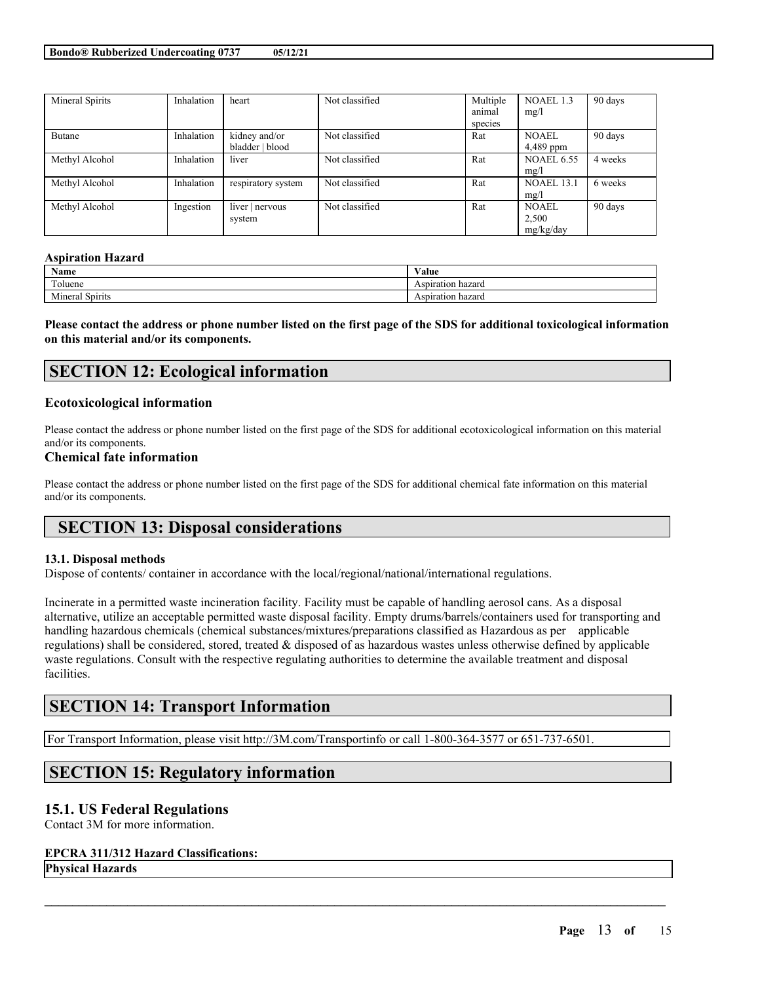| Mineral Spirits | Inhalation | heart              | Not classified | Multiple | NOAEL 1.3         | 90 days |
|-----------------|------------|--------------------|----------------|----------|-------------------|---------|
|                 |            |                    |                | animal   | mg/l              |         |
|                 |            |                    |                | species  |                   |         |
| Butane          | Inhalation | kidney and/or      | Not classified | Rat      | <b>NOAEL</b>      | 90 days |
|                 |            | bladder   blood    |                |          | 4,489 ppm         |         |
| Methyl Alcohol  | Inhalation | liver              | Not classified | Rat      | <b>NOAEL 6.55</b> | 4 weeks |
|                 |            |                    |                |          | mg/l              |         |
| Methyl Alcohol  | Inhalation | respiratory system | Not classified | Rat      | <b>NOAEL 13.1</b> | 6 weeks |
|                 |            |                    |                |          | mg/l              |         |
| Methyl Alcohol  | Ingestion  | liver $ $ nervous  | Not classified | Rat      | <b>NOAEL</b>      | 90 days |
|                 |            | system             |                |          | 2,500             |         |
|                 |            |                    |                |          | mg/kg/day         |         |

#### **Aspiration Hazard**

| Name             | ⁄ alue          |
|------------------|-----------------|
| <b>CONTINUES</b> | Aspiration      |
| oluene           | hazaro          |
| .                | `hazaro         |
| Spirits          | Aspiration      |
| l al             | 10 <sup>1</sup> |

Please contact the address or phone number listed on the first page of the SDS for additional toxicological information **on this material and/or its components.**

## **SECTION 12: Ecological information**

## **Ecotoxicological information**

Please contact the address or phone number listed on the first page of the SDS for additional ecotoxicological information on this material and/or its components.

## **Chemical fate information**

Please contact the address or phone number listed on the first page of the SDS for additional chemical fate information on this material and/or its components.

# **SECTION 13: Disposal considerations**

#### **13.1. Disposal methods**

Dispose of contents/ container in accordance with the local/regional/national/international regulations.

Incinerate in a permitted waste incineration facility. Facility must be capable of handling aerosol cans. As a disposal alternative, utilize an acceptable permitted waste disposal facility. Empty drums/barrels/containers used for transporting and handling hazardous chemicals (chemical substances/mixtures/preparations classified as Hazardous as per applicable regulations) shall be considered, stored, treated & disposed of as hazardous wastes unless otherwise defined by applicable waste regulations. Consult with the respective regulating authorities to determine the available treatment and disposal facilities.

 $\mathcal{L}_\mathcal{L} = \mathcal{L}_\mathcal{L} = \mathcal{L}_\mathcal{L} = \mathcal{L}_\mathcal{L} = \mathcal{L}_\mathcal{L} = \mathcal{L}_\mathcal{L} = \mathcal{L}_\mathcal{L} = \mathcal{L}_\mathcal{L} = \mathcal{L}_\mathcal{L} = \mathcal{L}_\mathcal{L} = \mathcal{L}_\mathcal{L} = \mathcal{L}_\mathcal{L} = \mathcal{L}_\mathcal{L} = \mathcal{L}_\mathcal{L} = \mathcal{L}_\mathcal{L} = \mathcal{L}_\mathcal{L} = \mathcal{L}_\mathcal{L}$ 

# **SECTION 14: Transport Information**

For Transport Information, please visit http://3M.com/Transportinfo or call 1-800-364-3577 or 651-737-6501.

# **SECTION 15: Regulatory information**

## **15.1. US Federal Regulations**

Contact 3M for more information.

## **EPCRA 311/312 Hazard Classifications:**

**Physical Hazards**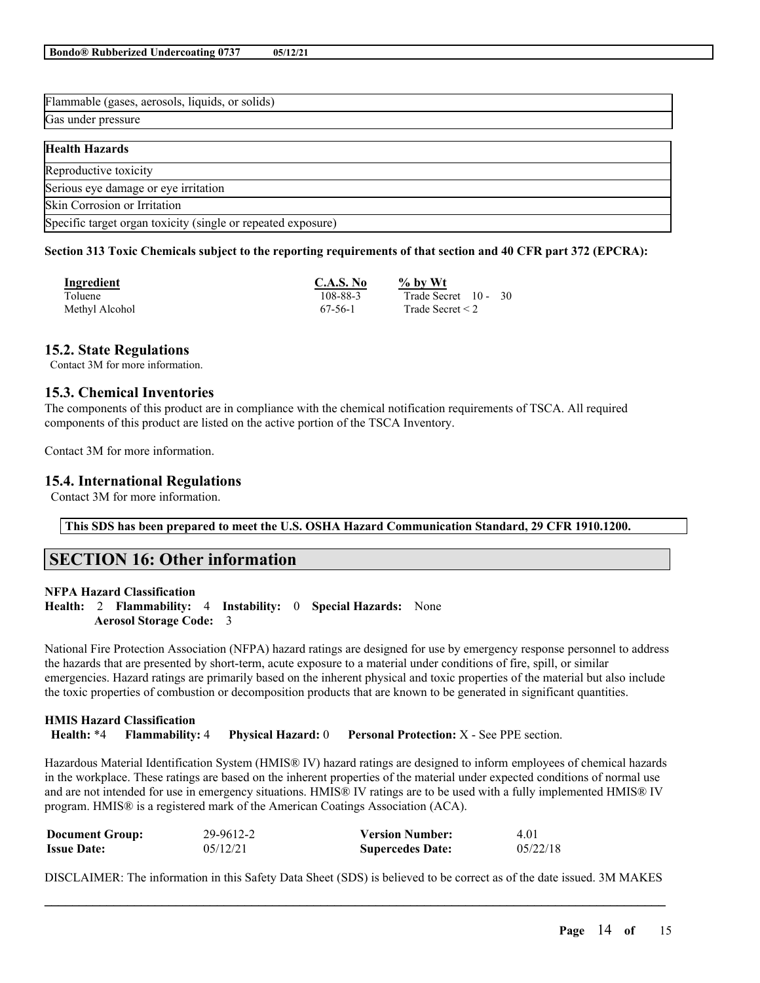| Flammable (gases, aerosols, liquids, or solids)              |
|--------------------------------------------------------------|
| Gas under pressure                                           |
| <b>Health Hazards</b>                                        |
|                                                              |
| Reproductive toxicity                                        |
| Serious eye damage or eye irritation                         |
| Skin Corrosion or Irritation                                 |
| Specific target organ toxicity (single or repeated exposure) |

## Section 313 Toxic Chemicals subject to the reporting requirements of that section and 40 CFR part 372 (EPCRA):

| Ingredient     | C.A.S. No | $\%$ by Wt            |
|----------------|-----------|-----------------------|
| Toluene        | 108-88-3  | Trade Secret 10 - 30  |
| Methyl Alcohol | 67-56-1   | Trade Secret $\leq$ 2 |

## **15.2. State Regulations**

Contact 3M for more information.

## **15.3. Chemical Inventories**

The components of this product are in compliance with the chemical notification requirements of TSCA. All required components of this product are listed on the active portion of the TSCA Inventory.

Contact 3M for more information.

## **15.4. International Regulations**

Contact 3M for more information.

**This SDS has been prepared to meet the U.S. OSHA Hazard Communication Standard, 29 CFR 1910.1200.**

# **SECTION 16: Other information**

## **NFPA Hazard Classification**

**Health:** 2 **Flammability:** 4 **Instability:** 0 **Special Hazards:** None **Aerosol Storage Code:** 3

National Fire Protection Association (NFPA) hazard ratings are designed for use by emergency response personnel to address the hazards that are presented by short-term, acute exposure to a material under conditions of fire, spill, or similar emergencies. Hazard ratings are primarily based on the inherent physical and toxic properties of the material but also include the toxic properties of combustion or decomposition products that are known to be generated in significant quantities.

## **HMIS Hazard Classification**

**Health:** \*4 **Flammability:** 4 **Physical Hazard:** 0 **Personal Protection:** X - See PPE section.

Hazardous Material Identification System (HMIS® IV) hazard ratings are designed to inform employees of chemical hazards in the workplace. These ratings are based on the inherent properties of the material under expected conditions of normal use and are not intended for use in emergency situations. HMIS® IV ratings are to be used with a fully implemented HMIS® IV program. HMIS® is a registered mark of the American Coatings Association (ACA).

| <b>Document Group:</b> | 29-9612-2 | <b>Version Number:</b>  | 4.01     |
|------------------------|-----------|-------------------------|----------|
| <b>Issue Date:</b>     | 05/12/21  | <b>Supercedes Date:</b> | 05/22/18 |

 $\mathcal{L}_\mathcal{L} = \mathcal{L}_\mathcal{L} = \mathcal{L}_\mathcal{L} = \mathcal{L}_\mathcal{L} = \mathcal{L}_\mathcal{L} = \mathcal{L}_\mathcal{L} = \mathcal{L}_\mathcal{L} = \mathcal{L}_\mathcal{L} = \mathcal{L}_\mathcal{L} = \mathcal{L}_\mathcal{L} = \mathcal{L}_\mathcal{L} = \mathcal{L}_\mathcal{L} = \mathcal{L}_\mathcal{L} = \mathcal{L}_\mathcal{L} = \mathcal{L}_\mathcal{L} = \mathcal{L}_\mathcal{L} = \mathcal{L}_\mathcal{L}$ DISCLAIMER: The information in this Safety Data Sheet (SDS) is believed to be correct as of the date issued. 3M MAKES